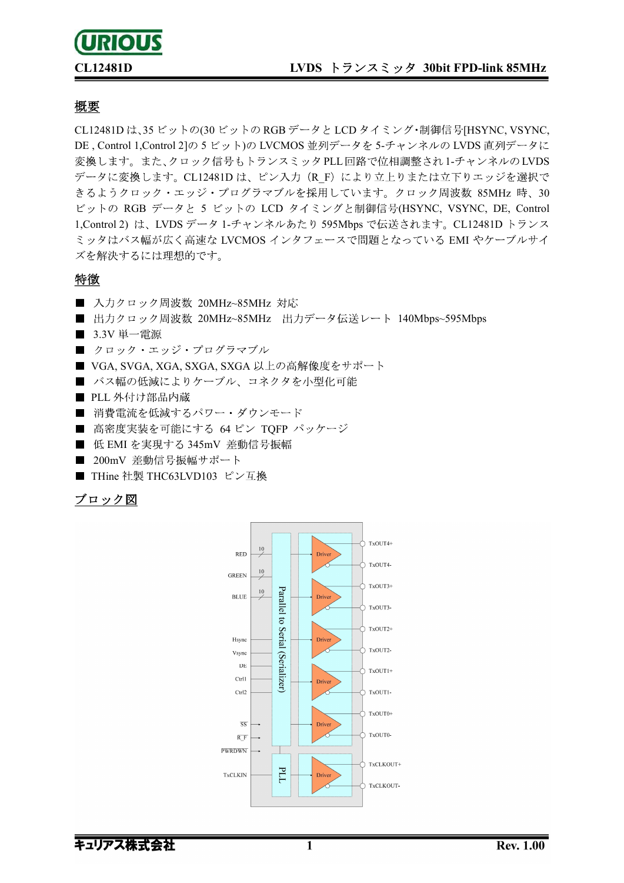# **URIOUS**

### CL12481D LVDS トランスミッタ 30bit FPD-link 85MHz

### 概要

CL12481D は、35 ビットの(30 ビットの RGB データと LCD タイミング・制御信号[HSYNC, VSYNC, DE, Control 1,Control 2]の 5 ビット)の LVCMOS 並列データを 5-チャンネルの LVDS 直列データに 変換します。また、クロック信号もトランスミッタPLL回路で位相調整され1-チャンネルのLVDS データに変換します。CL12481Dは、ピン入力 (R F) により立上りまたは立下りエッジを選択で きるようクロック・エッジ・プログラマブルを採用しています。クロック周波数 85MHz 時、30 ビットの RGB データと 5 ビットの LCD タイミングと制御信号(HSYNC, VSYNC, DE, Control 1,Control 2) は、LVDS データ 1-チャンネルあたり 595Mbps で伝送されます。CL12481D トランス ミッタはバス幅が広く高速な LVCMOS インタフェースで問題となっている EMI やケーブルサイ ズを解決するには理想的です。

#### 特徴

- 入力クロック周波数 20MHz~85MHz 対応
- 出力クロック周波数 20MHz~85MHz 出力データ伝送レート 140Mbps~595Mbps
- 3.3V 単一電源
- クロック・エッジ・プログラマブル
- VGA, SVGA, XGA, SXGA, SXGA 以上の高解像度をサポート
- バス幅の低減によりケーブル、コネクタを小型化可能
- PLL 外付け部品内蔵
- 消費電流を低減するパワー・ダウンモード
- 高密度実装を可能にする 64 ピン TOFP パッケージ
- 低 EMI を実現する 345mV 差動信号振幅
- 200mV 差動信号振幅サポート
- THine 社製 THC63LVD103 ピン互換

### ブロック図

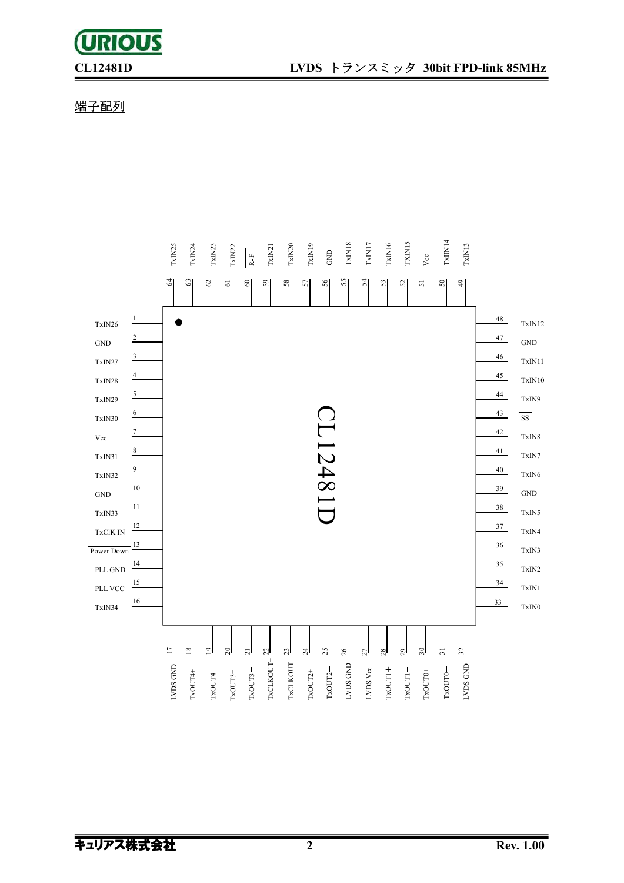## **URIOUS**

### 端子配列